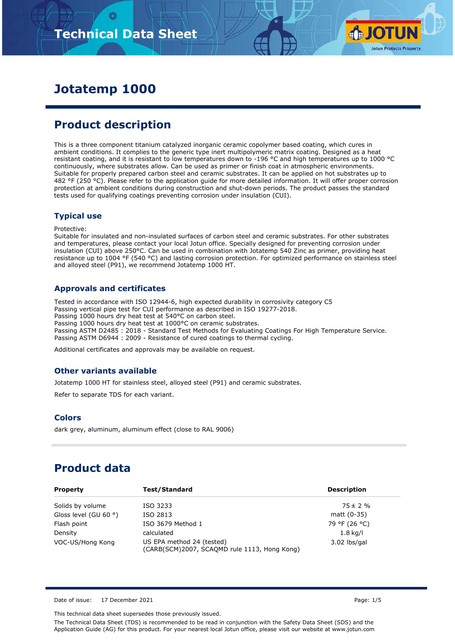

# **Jotatemp 1000**

# **Product description**

This is a three component titanium catalyzed inorganic ceramic copolymer based coating, which cures in ambient conditions. It complies to the generic type inert multipolymeric matrix coating. Designed as a heat resistant coating, and it is resistant to low temperatures down to -196 °C and high temperatures up to 1000 °C continuously, where substrates allow. Can be used as primer or finish coat in atmospheric environments. Suitable for properly prepared carbon steel and ceramic substrates. It can be applied on hot substrates up to 482 °F (250 °C). Please refer to the application guide for more detailed information. It will offer proper corrosion protection at ambient conditions during construction and shut-down periods. The product passes the standard tests used for qualifying coatings preventing corrosion under insulation (CUI).

#### **Typical use**

Protective:

Suitable for insulated and non-insulated surfaces of carbon steel and ceramic substrates. For other substrates and temperatures, please contact your local Jotun office. Specially designed for preventing corrosion under insulation (CUI) above 250°C. Can be used in combination with Jotatemp 540 Zinc as primer, providing heat resistance up to 1004 °F (540 °C) and lasting corrosion protection. For optimized performance on stainless steel and alloyed steel (P91), we recommend Jotatemp 1000 HT.

### **Approvals and certificates**

Tested in accordance with ISO 12944-6, high expected durability in corrosivity category C5 Passing vertical pipe test for CUI performance as described in ISO 19277-2018. Passing 1000 hours dry heat test at 540°C on carbon steel. Passing 1000 hours dry heat test at 1000°C on ceramic substrates. Passing ASTM D2485 : 2018 - Standard Test Methods for Evaluating Coatings For High Temperature Service. Passing ASTM D6944 : 2009 - Resistance of cured coatings to thermal cycling.

Additional certificates and approvals may be available on request.

### **Other variants available**

Jotatemp 1000 HT for stainless steel, alloyed steel (P91) and ceramic substrates.

Refer to separate TDS for each variant.

### **Colors**

dark grey, aluminum, aluminum effect (close to RAL 9006)

## **Product data**

| <b>Property</b>                | Test/Standard                                                             | <b>Description</b> |
|--------------------------------|---------------------------------------------------------------------------|--------------------|
| Solids by volume               | ISO 3233                                                                  | $75 \pm 2 \%$      |
| Gloss level (GU 60 $\degree$ ) | ISO 2813                                                                  | matt (0-35)        |
| Flash point                    | ISO 3679 Method 1                                                         | 79 °F (26 °C)      |
| Density                        | calculated                                                                | $1.8$ kg/l         |
| VOC-US/Hong Kong               | US EPA method 24 (tested)<br>(CARB(SCM)2007, SCAQMD rule 1113, Hong Kong) | $3.02$ lbs/gal     |

Date of issue: 17 December 2021 **Page: 1/5** 

This technical data sheet supersedes those previously issued.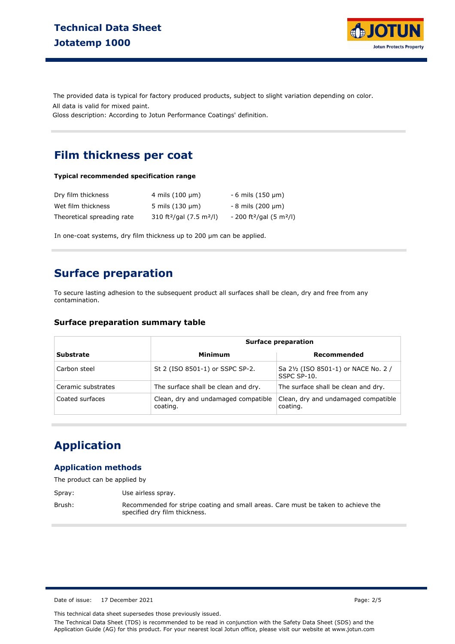

The provided data is typical for factory produced products, subject to slight variation depending on color. Gloss description: According to Jotun Performance Coatings' definition. All data is valid for mixed paint.

**Film thickness per coat**

#### **Typical recommended specification range**

| Dry film thickness         | 4 mils $(100 \mu m)$                             | $-6$ mils (150 $\mu$ m)                           |
|----------------------------|--------------------------------------------------|---------------------------------------------------|
| Wet film thickness         | 5 mils $(130 \mu m)$                             | $-8$ mils (200 $\mu$ m)                           |
| Theoretical spreading rate | 310 ft <sup>2</sup> /gal (7.5 m <sup>2</sup> /l) | $-200$ ft <sup>2</sup> /gal (5 m <sup>2</sup> /l) |

In one-coat systems, dry film thickness up to 200 µm can be applied.

## **Surface preparation**

To secure lasting adhesion to the subsequent product all surfaces shall be clean, dry and free from any contamination.

#### **Surface preparation summary table**

|                    | <b>Surface preparation</b>                      |                                                     |  |  |
|--------------------|-------------------------------------------------|-----------------------------------------------------|--|--|
| <b>Substrate</b>   | Minimum                                         | Recommended                                         |  |  |
| Carbon steel       | St 2 (ISO 8501-1) or SSPC SP-2.                 | Sa 21/2 (ISO 8501-1) or NACE No. 2 /<br>SSPC SP-10. |  |  |
| Ceramic substrates | The surface shall be clean and dry.             | The surface shall be clean and dry.                 |  |  |
| Coated surfaces    | Clean, dry and undamaged compatible<br>coating. | Clean, dry and undamaged compatible<br>coating.     |  |  |

## **Application**

#### **Application methods**

The product can be applied by

| Spray: | Use airless spray.                                                                                                 |
|--------|--------------------------------------------------------------------------------------------------------------------|
| Brush: | Recommended for stripe coating and small areas. Care must be taken to achieve the<br>specified dry film thickness. |

Date of issue: 17 December 2021 **Page: 2/5** 

This technical data sheet supersedes those previously issued.

The Technical Data Sheet (TDS) is recommended to be read in conjunction with the Safety Data Sheet (SDS) and the Application Guide (AG) for this product. For your nearest local Jotun office, please visit our website at www.jotun.com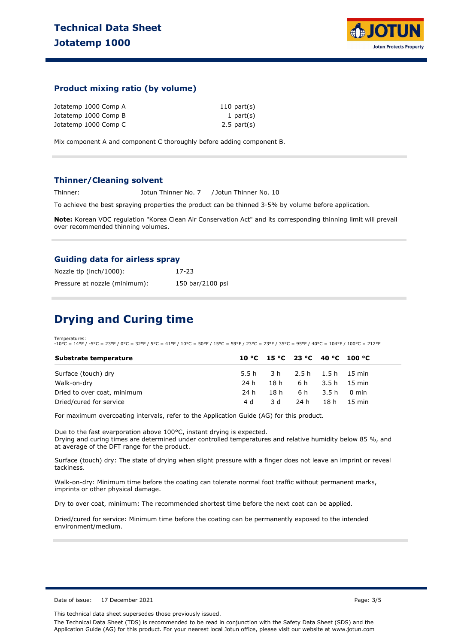

### **Product mixing ratio (by volume)**

| Jotatemp 1000 Comp A | $110$ part(s)    |
|----------------------|------------------|
| Jotatemp 1000 Comp B | 1 part $(s)$     |
| Jotatemp 1000 Comp C | $2.5$ part $(s)$ |

Mix component A and component C thoroughly before adding component B.

#### **Thinner/Cleaning solvent**

Thinner: Jotun Thinner No. 7 / Jotun Thinner No. 10

To achieve the best spraying properties the product can be thinned 3-5% by volume before application.

**Note:** Korean VOC regulation "Korea Clean Air Conservation Act" and its corresponding thinning limit will prevail over recommended thinning volumes.

#### **Guiding data for airless spray**

| Nozzle tip (inch/1000):       | 17-23            |
|-------------------------------|------------------|
| Pressure at nozzle (minimum): | 150 bar/2100 psi |

### **Drying and Curing time**

Temperatures: -10°C = 14°F / -5°C = 23°F / 0°C = 32°F / 5°C = 41°F / 10°C = 50°F / 15°C = 59°F / 23°C = 73°F / 35°C = 95°F / 40°C = 104°F / 100°C = 212°F

| Substrate temperature       |      | 10 °C 15 °C 23 °C 40 °C 100 °C |                       |             |  |
|-----------------------------|------|--------------------------------|-----------------------|-------------|--|
| Surface (touch) dry         |      | 5.5 h 3 h 2.5 h 1.5 h 1.5 min  |                       |             |  |
| Walk-on-dry                 | 24 h |                                | 18 h 6 h 3.5 h 15 min |             |  |
| Dried to over coat, minimum | 24 h |                                | 18h 6h 3.5h 0min      |             |  |
| Dried/cured for service     | 4 d  | 3 d                            | 24 h                  | 18 h 15 min |  |

For maximum overcoating intervals, refer to the Application Guide (AG) for this product.

Due to the fast evarporation above 100°C, instant drying is expected. Drying and curing times are determined under controlled temperatures and relative humidity below 85 %, and at average of the DFT range for the product.

Surface (touch) dry: The state of drying when slight pressure with a finger does not leave an imprint or reveal tackiness.

Walk-on-dry: Minimum time before the coating can tolerate normal foot traffic without permanent marks, imprints or other physical damage.

Dry to over coat, minimum: The recommended shortest time before the next coat can be applied.

Dried/cured for service: Minimum time before the coating can be permanently exposed to the intended environment/medium.

Date of issue: 17 December 2021 **Page: 3/5** Page: 3/5

This technical data sheet supersedes those previously issued.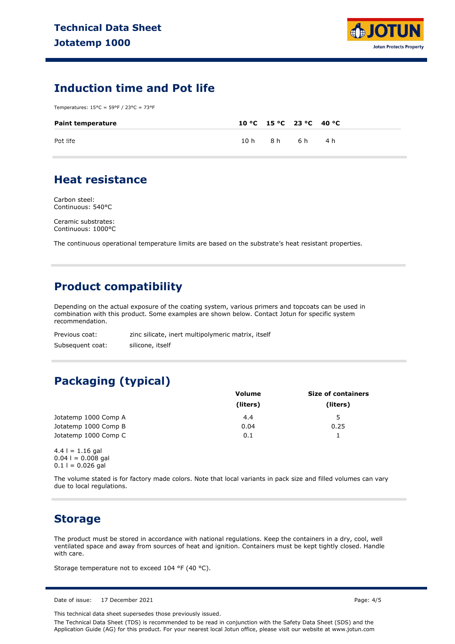

## **Induction time and Pot life**

Temperatures: 15°C = 59°F / 23°C = 73°F

| <b>Paint temperature</b> | 10 °C 15 °C 23 °C 40 °C |       |  |
|--------------------------|-------------------------|-------|--|
| Pot life                 | 10h 8h                  | 6h 4h |  |

### **Heat resistance**

Carbon steel: Continuous: 540°C

Ceramic substrates: Continuous: 1000°C

The continuous operational temperature limits are based on the substrate's heat resistant properties.

## **Product compatibility**

Depending on the actual exposure of the coating system, various primers and topcoats can be used in combination with this product. Some examples are shown below. Contact Jotun for specific system recommendation.

| Previous coat:   | zinc silicate, inert multipolymeric matrix, itself |
|------------------|----------------------------------------------------|
| Subsequent coat: | silicone, itself                                   |

## **Packaging (typical)**

|                      | Volume   | <b>Size of containers</b> |  |  |
|----------------------|----------|---------------------------|--|--|
|                      | (liters) | (liters)                  |  |  |
| Jotatemp 1000 Comp A | 4.4      | 5                         |  |  |
| Jotatemp 1000 Comp B | 0.04     | 0.25                      |  |  |
| Jotatemp 1000 Comp C | 0.1      |                           |  |  |

 $4.4$  l = 1.16 gal  $0.04$  l = 0.008 gal  $0.1$  l = 0.026 gal

The volume stated is for factory made colors. Note that local variants in pack size and filled volumes can vary due to local regulations.

### **Storage**

The product must be stored in accordance with national regulations. Keep the containers in a dry, cool, well ventilated space and away from sources of heat and ignition. Containers must be kept tightly closed. Handle with care.

Storage temperature not to exceed 104 °F (40 °C).

Date of issue: 17 December 2021 **Page: 4/5** 

This technical data sheet supersedes those previously issued.

The Technical Data Sheet (TDS) is recommended to be read in conjunction with the Safety Data Sheet (SDS) and the Application Guide (AG) for this product. For your nearest local Jotun office, please visit our website at www.jotun.com